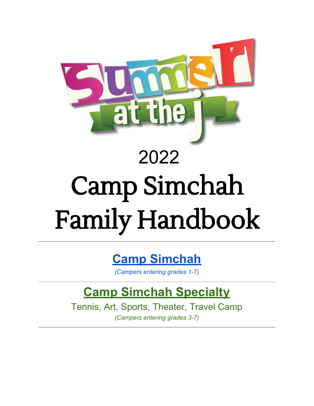

## 2022

# Camp Simchah **Family Handbook**

## **Camp Simchah**

*(Campers entering grades 1-7)*

## **Camp Simchah Specialty**

Tennis, Art, Sports, Theater, Travel Camp *(Campers entering grades 3-7)*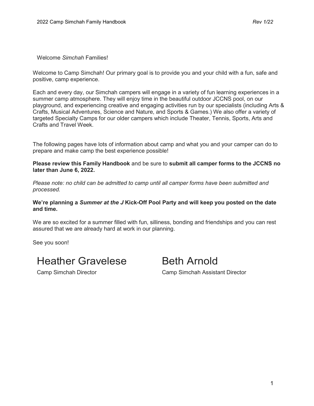Welcome *Simchah* Families!

Welcome to Camp Simchah! Our primary goal is to provide you and your child with a fun, safe and positive, camp experience.

Each and every day, our Simchah campers will engage in a variety of fun learning experiences in a summer camp atmosphere. They will enjoy time in the beautiful outdoor JCCNS pool, on our playground, and experiencing creative and engaging activities run by our specialists (including Arts & Crafts, Musical Adventures, Science and Nature, and Sports & Games.) We also offer a variety of targeted Specialty Camps for our older campers which include Theater, Tennis, Sports, Arts and Crafts and Travel Week.

The following pages have lots of information about camp and what you and your camper can do to prepare and make camp the best experience possible!

**Please review this Family Handbook** and be sure to **submit all camper forms to the JCCNS no later than June 6, 2022.** 

*Please note: no child can be admitted to camp until all camper forms have been submitted and processed.* 

#### **We're planning a** *Summer at the J* **Kick-Off Pool Party and will keep you posted on the date and time.**

We are so excited for a summer filled with fun, silliness, bonding and friendships and you can rest assured that we are already hard at work in our planning.

See you soon!

## Heather Gravelese Beth Arnold

Camp Simchah Director Camp Simchah Assistant Director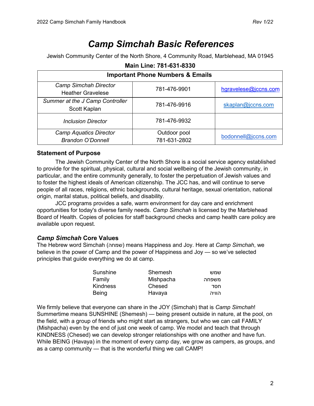### *Camp Simchah Basic References*

Jewish Community Center of the North Shore, 4 Community Road, Marblehead, MA 01945

| <b>Important Phone Numbers &amp; Emails</b>               |                              |                      |  |  |
|-----------------------------------------------------------|------------------------------|----------------------|--|--|
| <b>Camp Simchah Director</b><br><b>Heather Gravelese</b>  | 781-476-9901                 | hgravelese@jccns.com |  |  |
| Summer at the J Camp Controller<br>Scott Kaplan           | 781-476-9916                 | skaplan@jccns.com    |  |  |
| <b>Inclusion Director</b>                                 | 781-476-9932                 |                      |  |  |
| <b>Camp Aquatics Director</b><br><b>Brandon O'Donnell</b> | Outdoor pool<br>781-631-2802 | bodonnell@jccns.com  |  |  |

#### **Main Line: 781-631-8330**

#### **Statement of Purpose**

The Jewish Community Center of the North Shore is a social service agency established to provide for the spiritual, physical, cultural and social wellbeing of the Jewish community, in particular, and the entire community generally, to foster the perpetuation of Jewish values and to foster the highest ideals of American citizenship. The JCC has, and will continue to serve people of all races, religions, ethnic backgrounds, cultural heritage, sexual orientation, national origin, marital status, political beliefs, and disability.

JCC programs provides a safe, warm environment for day care and enrichment opportunities for today's diverse family needs. *Camp Simchah* is licensed by the Marblehead Board of Health. Copies of policies for staff background checks and camp health care policy are available upon request.

#### *Camp Simchah* **Core Values**

The Hebrew word Simchah (שמחה (means Happiness and Joy. Here at *Camp Simchah*, we believe in the power of Camp and the power of Happiness and Joy — so we've selected principles that guide everything we do at camp.

| Sunshine | Shemesh   | שמש   |
|----------|-----------|-------|
| Family   | Mishpacha | משפחה |
| Kindness | Chesed    | חסד   |
| Being    | Havaya    | הוויה |

We firmly believe that everyone can share in the JOY (Simchah) that is *Camp Simchah*! Summertime means SUNSHINE (Shemesh) — being present outside in nature, at the pool, on the field, with a group of friends who might start as strangers, but who we can call FAMILY (Mishpacha) even by the end of just one week of camp. We model and teach that through KINDNESS (Chesed) we can develop stronger relationships with one another and have fun. While BEING (Havaya) in the moment of every camp day, we grow as campers, as groups, and as a camp community — that is the wonderful thing we call CAMP!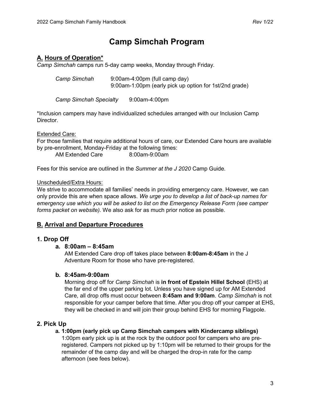#### **Camp Simchah Program**

#### **A. Hours of Operation\***

*Camp Simchah* camps run 5-day camp weeks, Monday through Friday.

*Camp Simchah* 9:00am-4:00pm (full camp day) 9:00am-1:00pm (early pick up option for 1st/2nd grade)

*Camp Simchah Specialty* 9:00am-4:00pm

\*Inclusion campers may have individualized schedules arranged with our Inclusion Camp Director.

Extended Care:

For those families that require additional hours of care, our Extended Care hours are available by pre-enrollment, Monday-Friday at the following times:

AM Extended Care 8:00am-9:00am

Fees for this service are outlined in the *Summer at the J 2020* Camp Guide.

#### Unscheduled/Extra Hours:

We strive to accommodate all families' needs in providing emergency care. However, we can only provide this are when space allows. *We urge you to develop a list of back-up names for emergency use which you will be asked to list on the Emergency Release Form (see camper forms packet on website).* We also ask for as much prior notice as possible.

#### **B. Arrival and Departure Procedures**

#### **1. Drop Off**

#### **a. 8:00am – 8:45am**

AM Extended Care drop off takes place between **8:00am-8:45am** in the J Adventure Room for those who have pre-registered.

#### **b. 8:45am-9:00am**

Morning drop off for *Camp Simchah* is **in front of Epstein Hillel School** (EHS) at the far end of the upper parking lot. Unless you have signed up for AM Extended Care, all drop offs must occur between **8:45am and 9:00am**. *Camp Simchah* is not responsible for your camper before that time. After you drop off your camper at EHS, they will be checked in and will join their group behind EHS for morning Flagpole.

#### **2. Pick Up**

#### **a. 1:00pm (early pick up Camp Simchah campers with Kindercamp siblings)**

1:00pm early pick up is at the rock by the outdoor pool for campers who are preregistered. Campers not picked up by 1:10pm will be returned to their groups for the remainder of the camp day and will be charged the drop-in rate for the camp afternoon (see fees below).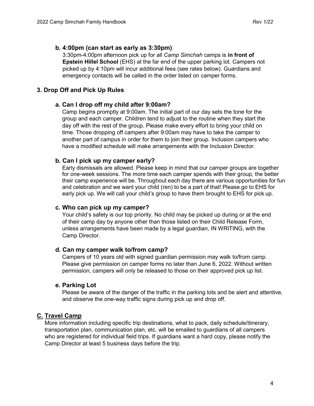#### **b. 4:00pm (can start as early as 3:30pm)**

3:30pm-4:00pm afternoon pick up for all *Camp Simchah* camps is **in front of Epstein Hillel School** (EHS) at the far end of the upper parking lot. Campers not picked up by 4:10pm will incur additional fees (see rates below). Guardians and emergency contacts will be called in the order listed on camper forms.

#### **3. Drop Off and Pick Up Rules**

#### **a. Can I drop off my child after 9:00am?**

Camp begins promptly at 9:00am. The initial part of our day sets the tone for the group and each camper. Children tend to adjust to the routine when they start the day off with the rest of the group. Please make every effort to bring your child on time. Those dropping off campers after 9:00am may have to take the camper to another part of campus in order for them to join their group. Inclusion campers who have a modified schedule will make arrangements with the Inclusion Director.

#### **b. Can I pick up my camper early?**

Early dismissals are allowed. Please keep in mind that our camper groups are together for one-week sessions. The more time each camper spends with their group, the better their camp experience will be. Throughout each day there are various opportunities for fun and celebration and we want your child (ren) to be a part of that! Please go to EHS for early pick up. We will call your child's group to have them brought to EHS for pick up.

#### **c. Who can pick up my camper?**

Your child's safety is our top priority. No child may be picked up during or at the end of their camp day by anyone other than those listed on their Child Release Form, unless arrangements have been made by a legal guardian, IN WRITING, with the Camp Director.

#### **d. Can my camper walk to/from camp?**

Campers of 10 years old with signed guardian permission may walk to/from camp. Please give permission on camper forms no later than June 6, 2022. Without written permission, campers will only be released to those on their approved pick up list.

#### **e. Parking Lot**

Please be aware of the danger of the traffic in the parking lots and be alert and attentive, and observe the one-way traffic signs during pick up and drop off.

#### **C. Travel Camp**

More information including specific trip destinations, what to pack, daily schedule/itinerary, transportation plan, communication plan, etc. will be emailed to guardians of all campers who are registered for individual field trips. If guardians want a hard copy, please notify the Camp Director at least 5 business days before the trip.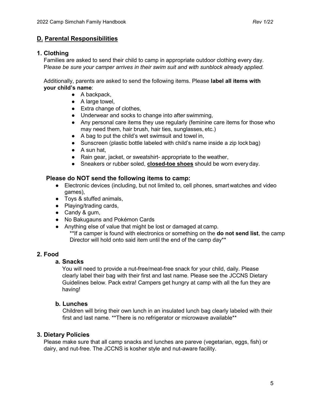#### **D. Parental Responsibilities**

#### **1. Clothing**

Families are asked to send their child to camp in appropriate outdoor clothing every day. P*lease be sure your camper arrives in their swim suit and with sunblock already applied.*

Additionally, parents are asked to send the following items. Please **label all items with your child's name**:

- $\bullet$  A backpack,
- A large towel,
- Extra change of clothes,
- Underwear and socks to change into after swimming,
- Any personal care items they use regularly (feminine care items for those who may need them, hair brush, hair ties, sunglasses, etc.)
- A bag to put the child's wet swimsuit and towel in,
- Sunscreen (plastic bottle labeled with child's name inside a zip lock bag)
- A sun hat,
- Rain gear, jacket, or sweatshirt- appropriate to the weather,
- Sneakers or rubber soled, **closed-toe shoes** should be worn every day.

#### **Please do NOT send the following items to camp:**

- Electronic devices (including, but not limited to, cell phones, smartwatches and video games),
- Toys & stuffed animals,
- Playing/trading cards,
- Candy & gum,
- No Bakugauns and Pokémon Cards
- Anything else of value that might be lost or damaged at camp. \*\*If a camper is found with electronics or something on the **do not send list**, the camp Director will hold onto said item until the end of the camp day\*\*

#### **2. Food**

#### **a. Snacks**

You will need to provide a nut-free/meat-free snack for your child, daily. Please clearly label their bag with their first and last name. Please see the JCCNS Dietary Guidelines below. Pack extra! Campers get hungry at camp with all the fun they are having!

#### **b. Lunches**

Children will bring their own lunch in an insulated lunch bag clearly labeled with their first and last name. \*\*There is no refrigerator or microwave available\*\*

#### **3. Dietary Policies**

Please make sure that all camp snacks and lunches are pareve (vegetarian, eggs, fish) or dairy, and nut-free. The JCCNS is kosher style and nut-aware facility.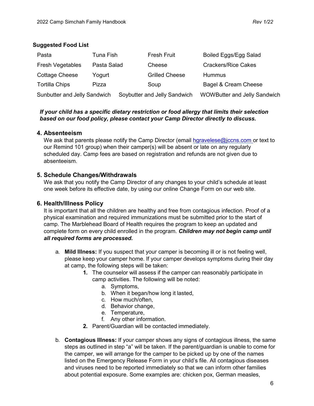#### **Suggested Food List**

| Pasta                               | Tuna Fish   | <b>Fresh Fruit</b>           | Boiled Eggs/Egg Salad               |
|-------------------------------------|-------------|------------------------------|-------------------------------------|
| <b>Fresh Vegetables</b>             | Pasta Salad | Cheese                       | <b>Crackers/Rice Cakes</b>          |
| <b>Cottage Cheese</b>               | Yogurt      | <b>Grilled Cheese</b>        | <b>Hummus</b>                       |
| <b>Tortilla Chips</b>               | Pizza       | Soup                         | Bagel & Cream Cheese                |
| <b>Sunbutter and Jelly Sandwich</b> |             | Soybutter and Jelly Sandwich | <b>WOWButter and Jelly Sandwich</b> |

#### *If your child has a specific dietary restriction or food allergy that limits their selection based on our food policy, please contact your Camp Director directly to discuss.*

#### **4. Absenteeism**

We ask that parents please notify the Camp Director (email hgravelese $\omega$  jccns.com or text to our Remind 101 group) when their camper(s) will be absent or late on any regularly scheduled day. Camp fees are based on registration and refunds are not given due to absenteeism.

#### **5. Schedule Changes/Withdrawals**

We ask that you notify the Camp Director of any changes to your child's schedule at least one week before its effective date, by using our online Change Form on our web site.

#### **6. Health/Illness Policy**

It is important that all the children are healthy and free from contagious infection. Proof of a physical examination and required immunizations must be submitted prior to the start of camp. The Marblehead Board of Health requires the program to keep an updated and complete form on every child enrolled in the program. *Children may not begin camp until all required forms are processed.*

- a. **Mild Illness:** If you suspect that your camper is becoming ill or is not feeling well, please keep your camper home. If your camper develops symptoms during their day at camp, the following steps will be taken:
	- **1.** The counselor will assess if the camper can reasonably participate in camp activities. The following will be noted:
		- a. Symptoms,
		- b. When it began/how long it lasted,
		- c. How much/often,
		- d. Behavior change,
		- e. Temperature,
		- f. Any other information.
	- **2.** Parent/Guardian will be contacted immediately.
- b. **Contagious Illness:** If your camper shows any signs of contagious illness, the same steps as outlined in step "a" will be taken. If the parent/guardian is unable to come for the camper, we will arrange for the camper to be picked up by one of the names listed on the Emergency Release Form in your child's file. All contagious diseases and viruses need to be reported immediately so that we can inform other families about potential exposure. Some examples are: chicken pox, German measles,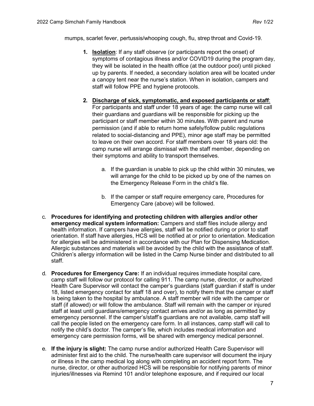mumps, scarlet fever, pertussis/whooping cough, flu, strep throat and Covid-19.

- **1. Isolation**: If any staff observe (or participants report the onset) of symptoms of contagious illness and/or COVID19 during the program day, they will be isolated in the health office (at the outdoor pool) until picked up by parents. If needed, a secondary isolation area will be located under a canopy tent near the nurse's station. When in isolation, campers and staff will follow PPE and hygiene protocols.
- **2. Discharge of sick, symptomatic, and exposed participants or staff**: For participants and staff under 18 years of age: the camp nurse will call their guardians and guardians will be responsible for picking up the participant or staff member within 30 minutes. With parent and nurse permission (and if able to return home safely/follow public regulations related to social-distancing and PPE), minor age staff may be permitted to leave on their own accord. For staff members over 18 years old: the camp nurse will arrange dismissal with the staff member, depending on their symptoms and ability to transport themselves.
	- a. If the guardian is unable to pick up the child within 30 minutes, we will arrange for the child to be picked up by one of the names on the Emergency Release Form in the child's file.
	- b. If the camper or staff require emergency care, Procedures for Emergency Care (above) will be followed.
- c. **Procedures for identifying and protecting children with allergies and/or other emergency medical system information:** Campers and staff files include allergy and health information. If campers have allergies, staff will be notified during or prior to staff orientation. If staff have allergies, HCS will be notified at or prior to orientation. Medication for allergies will be administered in accordance with our Plan for Dispensing Medication. Allergic substances and materials will be avoided by the child with the assistance of staff. Children's allergy information will be listed in the Camp Nurse binder and distributed to all staff.
- d. **Procedures for Emergency Care:** If an individual requires immediate hospital care, camp staff will follow our protocol for calling 911. The camp nurse, director, or authorized Health Care Supervisor will contact the camper's guardians (staff guardian if staff is under 18, listed emergency contact for staff 18 and over), to notify them that the camper or staff is being taken to the hospital by ambulance. A staff member will ride with the camper or staff (if allowed) or will follow the ambulance. Staff will remain with the camper or injured staff at least until guardians/emergency contact arrives and/or as long as permitted by emergency personnel. If the camper's/staff's guardians are not available, camp staff will call the people listed on the emergency care form. In all instances, camp staff will call to notify the child's doctor. The camper's file, which includes medical information and emergency care permission forms, will be shared with emergency medical personnel.
- e. **If the injury is slight:** The camp nurse and/or authorized Health Care Supervisor will administer first aid to the child. The nurse/health care supervisor will document the injury or illness in the camp medical log along with completing an accident report form. The nurse, director, or other authorized HCS will be responsible for notifying parents of minor injuries/illnesses via Remind 101 and/or telephone exposure, and if required our local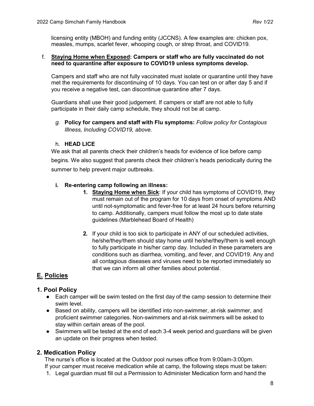licensing entity (MBOH) and funding entity (JCCNS). A few examples are: chicken pox, measles, mumps, scarlet fever, whooping cough, or strep throat, and COVID19.

#### f. **Staying Home when Exposed: Campers or staff who are fully vaccinated do not need to quarantine after exposure to COVID19 unless symptoms develop.**

Campers and staff who are not fully vaccinated must isolate or quarantine until they have met the requirements for discontinuing of 10 days. You can test on or after day 5 and if you receive a negative test, can discontinue quarantine after 7 days.

Guardians shall use their good judgement. If campers or staff are not able to fully participate in their daily camp schedule, they should not be at camp.

*g.* **Policy for campers and staff with Flu symptoms:** *Follow policy for Contagious Illness, Including COVID19, above.*

#### h. **HEAD LICE**

We ask that all parents check their children's heads for evidence of lice before camp begins. We also suggest that parents check their children's heads periodically during the summer to help prevent major outbreaks.

#### **i. Re-entering camp following an illness:**

- **1. Staying Home when Sick**: If your child has symptoms of COVID19, they must remain out of the program for 10 days from onset of symptoms AND until not-symptomatic and fever-free for at least 24 hours before returning to camp. Additionally, campers must follow the most up to date state guidelines (Marblehead Board of Health)
- **2.** If your child is too sick to participate in ANY of our scheduled activities, he/she/they/them should stay home until he/she/they/them is well enough to fully participate in his/her camp day. Included in these parameters are conditions such as diarrhea, vomiting, and fever, and COVID19. Any and all contagious diseases and viruses need to be reported immediately so that we can inform all other families about potential.

#### **E. Policies**

#### **1. Pool Policy**

- Each camper will be swim tested on the first day of the camp session to determine their swim level.
- Based on ability, campers will be identified into non-swimmer, at-risk swimmer, and proficient swimmer categories. Non-swimmers and at-risk swimmers will be asked to stay within certain areas of the pool.
- Swimmers will be tested at the end of each 3-4 week period and guardians will be given an update on their progress when tested.

#### **2. Medication Policy**

The nurse's office is located at the Outdoor pool nurses office from 9:00am-3:00pm. If your camper must receive medication while at camp, the following steps must be taken:

1. Legal guardian must fill out a Permission to Administer Medication form and hand the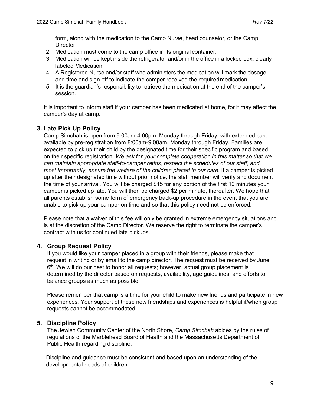form, along with the medication to the Camp Nurse, head counselor, or the Camp Director.

- 2. Medication must come to the camp office in its original container.
- 3. Medication will be kept inside the refrigerator and/or in the office in a locked box, clearly labeled Medication.
- 4. A Registered Nurse and/or staff who administers the medication will mark the dosage and time and sign off to indicate the camper received the required medication.
- 5. It is the guardian's responsibility to retrieve the medication at the end of the camper's session.

It is important to inform staff if your camper has been medicated at home, for it may affect the camper's day at camp.

#### **3. Late Pick Up Policy**

Camp Simchah is open from 9:00am-4:00pm, Monday through Friday, with extended care available by pre-registration from 8:00am-9:00am, Monday through Friday. Families are expected to pick up their child by the designated time for their specific program and based on their specific registration. *We ask for your complete cooperation in this matter so that we can maintain appropriate staff-to-camper ratios, respect the schedules of our staff, and, most importantly, ensure the welfare of the children placed in our care.* If a camper is picked up after their designated time without prior notice, the staff member will verify and document the time of your arrival. You will be charged \$15 for any portion of the first 10 minutes your camper is picked up late. You will then be charged \$2 per minute, thereafter. We hope that all parents establish some form of emergency back-up procedure in the event that you are unable to pick up your camper on time and so that this policy need not be enforced.

Please note that a waiver of this fee will only be granted in extreme emergency situations and is at the discretion of the Camp Director. We reserve the right to terminate the camper's contract with us for continued late pickups.

#### **4. Group Request Policy**

If you would like your camper placed in a group with their friends, please make that request in writing or by email to the camp director. The request must be received by June  $6<sup>th</sup>$ . We will do our best to honor all requests; however, actual group placement is determined by the director based on requests, availability, age guidelines, and efforts to balance groups as much as possible.

Please remember that camp is a time for your child to make new friends and participate in new experiences. Your support of these new friendships and experiences is helpful if/when group requests cannot be accommodated.

#### **5. Discipline Policy**

The Jewish Community Center of the North Shore, *Camp Simchah* abides by the rules of regulations of the Marblehead Board of Health and the Massachusetts Department of Public Health regarding discipline.

Discipline and guidance must be consistent and based upon an understanding of the developmental needs of children.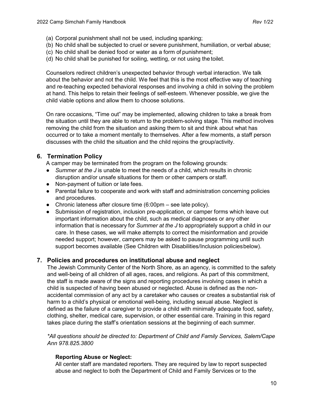- (a) Corporal punishment shall not be used, including spanking;
- (b) No child shall be subjected to cruel or severe punishment, humiliation, or verbal abuse;
- (c) No child shall be denied food or water as a form of punishment;
- (d) No child shall be punished for soiling, wetting, or not using the toilet.

Counselors redirect children's unexpected behavior through verbal interaction. We talk about the behavior and not the child. We feel that this is the most effective way of teaching and re-teaching expected behavioral responses and involving a child in solving the problem at hand. This helps to retain their feelings of self-esteem. Whenever possible, we give the child viable options and allow them to choose solutions.

On rare occasions, "Time out" may be implemented, allowing children to take a break from the situation until they are able to return to the problem-solving stage. This method involves removing the child from the situation and asking them to sit and think about what has occurred or to take a moment mentally to themselves. After a few moments, a staff person discusses with the child the situation and the child rejoins the group/activity.

#### **6. Termination Policy**

A camper may be terminated from the program on the following grounds:

- *Summer at the J* is unable to meet the needs of a child, which results in chronic disruption and/or unsafe situations for them or other campers or staff.
- Non-payment of tuition or late fees.
- Parental failure to cooperate and work with staff and administration concerning policies and procedures.
- Chronic lateness after closure time  $(6:00 \text{pm} \text{see} \text{ late policy})$ .
- Submission of registration, inclusion pre-application, or camper forms which leave out important information about the child, such as medical diagnoses or any other information that is necessary for *Summer at the J* to appropriately support a child in our care. In these cases, we will make attempts to correct the misinformation and provide needed support; however, campers may be asked to pause programming until such support becomes available (See Children with Disabilities/Inclusion policiesbelow).

#### **7. Policies and procedures on institutional abuse and neglect**

The Jewish Community Center of the North Shore, as an agency, is committed to the safety and well-being of all children of all ages, races, and religions. As part of this commitment, the staff is made aware of the signs and reporting procedures involving cases in which a child is suspected of having been abused or neglected. Abuse is defined as the nonaccidental commission of any act by a caretaker who causes or creates a substantial risk of harm to a child's physical or emotional well-being, including sexual abuse. Neglect is defined as the failure of a caregiver to provide a child with minimally adequate food, safety, clothing, shelter, medical care, supervision, or other essential care. Training in this regard takes place during the staff's orientation sessions at the beginning of each summer.

*\*All questions should be directed to: Department of Child and Family Services, Salem/Cape Ann 978.825.3800*

#### **Reporting Abuse or Neglect:**

All center staff are mandated reporters. They are required by law to report suspected abuse and neglect to both the Department of Child and Family Services or to the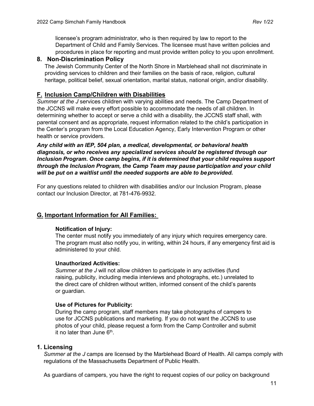licensee's program administrator, who is then required by law to report to the Department of Child and Family Services. The licensee must have written policies and procedures in place for reporting and must provide written policy to you upon enrollment.

#### **8. Non-Discrimination Policy**

The Jewish Community Center of the North Shore in Marblehead shall not discriminate in providing services to children and their families on the basis of race, religion, cultural heritage, political belief, sexual orientation, marital status, national origin, and/or disability.

#### **F. Inclusion Camp/Children with Disabilities**

*Summer at the J* services children with varying abilities and needs. The Camp Department of the JCCNS will make every effort possible to accommodate the needs of all children. In determining whether to accept or serve a child with a disability, the JCCNS staff shall, with parental consent and as appropriate, request information related to the child's participation in the Center's program from the Local Education Agency, Early Intervention Program or other health or service providers.

*Any child with an IEP, 504 plan, a medical, developmental, or behavioral health diagnosis, or who receives any specialized services should be registered through our Inclusion Program. Once camp begins, if it is determined that your child requires support through the Inclusion Program, the Camp Team may pause participation and your child will be put on a waitlist until the needed supports are able to beprovided.*

For any questions related to children with disabilities and/or our Inclusion Program, please contact our Inclusion Director, at 781-476-9932.

#### **G. Important Information for All Families:**

#### **Notification of Injury:**

The center must notify you immediately of any injury which requires emergency care. The program must also notify you, in writing, within 24 hours, if any emergency first aid is administered to your child.

#### **Unauthorized Activities:**

*Summer at the J* will not allow children to participate in any activities (fund raising, publicity, including media interviews and photographs, etc.) unrelated to the direct care of children without written, informed consent of the child's parents or guardian.

#### **Use of Pictures for Publicity:**

During the camp program, staff members may take photographs of campers to use for JCCNS publications and marketing. If you do not want the JCCNS to use photos of your child, please request a form from the Camp Controller and submit it no later than June  $6<sup>th</sup>$ .

#### **1. Licensing**

*Summer at the J* camps are licensed by the Marblehead Board of Health. All camps comply with regulations of the Massachusetts Department of Public Health.

As guardians of campers, you have the right to request copies of our policy on background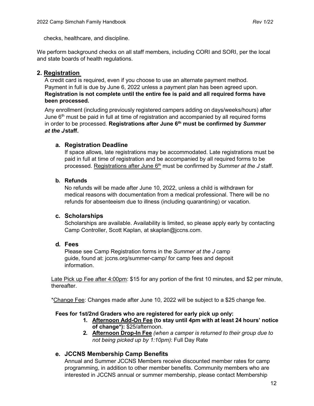checks, healthcare, and discipline.

We perform background checks on all staff members, including CORI and SORI, per the local and state boards of health regulations.

#### **2. Registration**

A credit card is required, even if you choose to use an alternate payment method. Payment in full is due by June 6, 2022 unless a payment plan has been agreed upon. **Registration is not complete until the entire fee is paid and all required forms have been processed.** 

Any enrollment (including previously registered campers adding on days/weeks/hours) after June 6<sup>th</sup> must be paid in full at time of registration and accompanied by all required forms in order to be processed. **Registrations after June 6th must be confirmed by** *Summer at the J***staff.**

#### **a. Registration Deadline**

If space allows, late registrations may be accommodated. Late registrations must be paid in full at time of registration and be accompanied by all required forms to be processed. Registrations after June 6<sup>th</sup> must be confirmed by *Summer at the J* staff.

#### **b. Refunds**

No refunds will be made after June 10, 2022, unless a child is withdrawn for medical reasons with documentation from a medical professional. There will be no refunds for absenteeism due to illness (including quarantining) or vacation.

#### **c. Scholarships**

Scholarships are available. Availability is limited, so please apply early by contacting Camp Controller, Scott Kaplan, at [skaplan@jccns.com.](mailto:skaplan@jccns.com)

#### **d. Fees**

Please see Camp Registration forms in the *Summer at the J* camp guide, found at: jccns.org/summer-camp/ for camp fees and deposit information.

Late Pick up Fee after 4:00pm: \$15 for any portion of the first 10 minutes, and \$2 per minute, thereafter.

\*Change Fee: Changes made after June 10, 2022 will be subject to a \$25 change fee.

#### **Fees for 1st/2nd Graders who are registered for early pick up only:**

- **1. Afternoon Add-On Fee (to stay until 4pm with at least 24 hours' notice of change\*):** \$25/afternoon.
- **2. Afternoon Drop-In Fee** *(when a camper is returned to their group due to not being picked up by 1:10pm)*: Full Day Rate

#### **e. JCCNS Membership Camp Benefits**

Annual and Summer JCCNS Members receive discounted member rates for camp programming, in addition to other member benefits. Community members who are interested in JCCNS annual or summer membership, please contact Membership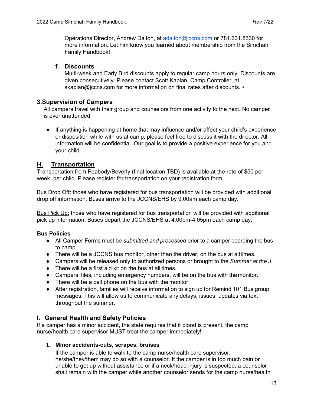Operations Director, Andrew Dalton, at [adalton@jccns.com](mailto:adalton@jccns.com) or 781.631.8330 for more information. Let him know you learned about membership from the Simchah Family Handbook!

#### **f. Discounts**

Multi-week and Early Bird discounts apply to regular camp hours only. Discounts are given consecutively. Please contact Scott Kaplan, Camp Controller, at [skaplan@jccns.com f](mailto:skaplan@jccns.com)or more information on final rates after discounts. •

#### **3.Supervision of Campers**

All campers travel with their group and counselors from one activity to the next. No camper is ever unattended.

● If anything is happening at home that may influence and/or affect your child's experience or disposition while with us at camp, please feel free to discuss it with the director. All information will be confidential. Our goal is to provide a positive experience for you and your child.

#### **H. Transportation**

Transportation from Peabody/Beverly (final location TBD) is available at the rate of \$50 per week, per child. Please register for transportation on your registration form.

Bus Drop Off: those who have registered for bus transportation will be provided with additional drop off information. Buses arrive to the JCCNS/EHS by 9:00am each camp day.

Bus Pick Up: those who have registered for bus transportation will be provided with additional pick up information. Buses depart the JCCNS/EHS at 4:00pm-4:05pm each camp day.

#### **Bus Policies**

- All Camper Forms must be *submitted and processed* prior to a camper boarding the bus to camp.
- There will be a JCCNS bus monitor, other than the driver, on the bus at alltimes.
- Campers will be released only to authorized persons or brought to the *Summer at the J*.
- There will be a first aid kit on the bus at all times.
- Campers' files, including emergency numbers, will be on the bus with themonitor.
- There will be a cell phone on the bus with the monitor.
- After registration, families will receive information to sign up for Remind 101 Bus group messages. This will allow us to communicate any delays, issues, updates via text throughout the summer.

#### **I. General Health and Safety Policies**

If a camper has a minor accident, the state requires that if blood is present, the camp nurse/health care supervisor MUST treat the camper immediately!

#### **1. Minor accidents-cuts, scrapes, bruises**

If the camper is able to walk to the camp nurse/health care supervisor, he/she/they/them may do so with a counselor. If the camper is in too much pain or unable to get up without assistance or if a neck/head injury is suspected, a counselor shall remain with the camper while another counselor sends for the camp nurse/health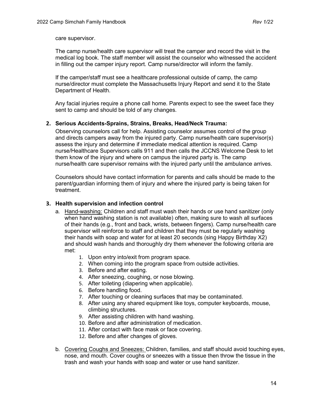care supervisor.

The camp nurse/health care supervisor will treat the camper and record the visit in the medical log book. The staff member will assist the counselor who witnessed the accident in filling out the camper injury report. Camp nurse/director will inform the family.

If the camper/staff must see a healthcare professional outside of camp, the camp nurse/director must complete the Massachusetts Injury Report and send it to the State Department of Health.

Any facial injuries require a phone call home. Parents expect to see the sweet face they sent to camp and should be told of any changes.

#### **2. Serious Accidents-Sprains, Strains, Breaks, Head/Neck Trauma:**

Observing counselors call for help. Assisting counselor assumes control of the group and directs campers away from the injured party. Camp nurse/health care supervisor(s) assess the injury and determine if immediate medical attention is required. Camp nurse/Healthcare Supervisors calls 911 and then calls the JCCNS Welcome Desk to let them know of the injury and where on campus the injured party is. The camp nurse/health care supervisor remains with the injured party until the ambulance arrives.

Counselors should have contact information for parents and calls should be made to the parent/guardian informing them of injury and where the injured party is being taken for treatment.

#### **3. Health supervision and infection control**

- a. Hand-washing: Children and staff must wash their hands or use hand sanitizer (only when hand washing station is not available) often, making sure to wash all surfaces of their hands (e.g., front and back, wrists, between fingers). Camp nurse/health care supervisor will reinforce to staff and children that they must be regularly washing their hands with soap and water for at least 20 seconds (sing Happy Birthday X2) and should wash hands and thoroughly dry them whenever the following criteria are met:
	- 1. Upon entry into/exit from program space.
	- 2. When coming into the program space from outside activities.
	- 3. Before and after eating.
	- 4. After sneezing, coughing, or nose blowing.
	- 5. After toileting (diapering when applicable).
	- 6. Before handling food.
	- 7. After touching or cleaning surfaces that may be contaminated.
	- 8. After using any shared equipment like toys, computer keyboards, mouse, climbing structures.
	- 9. After assisting children with hand washing.
	- 10. Before and after administration of medication.
	- 11. After contact with face mask or face covering.
	- 12. Before and after changes of gloves.
- b. Covering Coughs and Sneezes: Children, families, and staff should avoid touching eyes, nose, and mouth. Cover coughs or sneezes with a tissue then throw the tissue in the trash and wash your hands with soap and water or use hand sanitizer.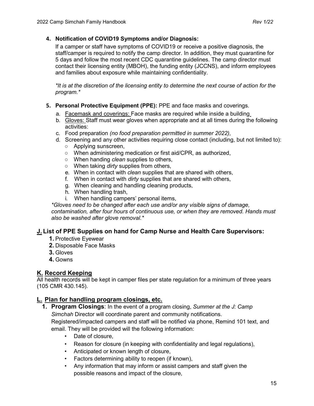#### **4. Notification of COVID19 Symptoms and/or Diagnosis:**

If a camper or staff have symptoms of COVID19 or receive a positive diagnosis, the staff/camper is required to notify the camp director. In addition, they must quarantine for 5 days and follow the most recent CDC quarantine guidelines. The camp director must contact their licensing entity (MBOH), the funding entity (JCCNS), and inform employees and families about exposure while maintaining confidentiality.

*\*It is at the discretion of the licensing entity to determine the next course of action for the program.\**

- **5. Personal Protective Equipment (PPE):** PPE and face masks and coverings.
	- a. Facemask and coverings: Face masks are required while inside a building
	- b. Gloves: Staff must wear gloves when appropriate and at all times during the following activities:
	- c. Food preparation *(no food preparation permitted in summer 2022),*
	- d. Screening and any other activities requiring close contact (including, but not limited to):
		- Applying sunscreen,
		- When administering medication or first aid/CPR, as authorized,
		- When handing *clean* supplies to others,
		- When taking *dirty* supplies from others,
		- e. When in contact with *clean* supplies that are shared with others,
		- f. When in contact with *dirty* supplies that are shared with others,
		- g. When cleaning and handling cleaning products,
		- h. When handling trash,
		- i. When handling campers' personal items,

*\*Gloves need to be changed after each use and/or any visible signs of damage, contamination, after four hours of continuous use, or when they are removed. Hands must also be washed after glove removal.\**

#### **J. List of PPE Supplies on hand for Camp Nurse and Health Care Supervisors:**

- **1.** Protective Eyewear
- **2.** Disposable Face Masks
- **3.** Gloves
- **4.** Gowns

#### **K. Record Keeping**

All health records will be kept in camper files per state regulation for a minimum of three years (105 CMR 430.145).

#### **L. Plan for handling program closings, etc.**

**1. Program Closings**: In the event of a program closing, *Summer at the J: Camp Simchah* Director will coordinate parent and community notifications.

Registered/impacted campers and staff will be notified via phone, Remind 101 text, and email. They will be provided will the following information:

- Date of closure,
- Reason for closure (in keeping with confidentiality and legal regulations),
- Anticipated or known length of closure,
- Factors determining ability to reopen (if known),
- Any information that may inform or assist campers and staff given the possible reasons and impact of the closure,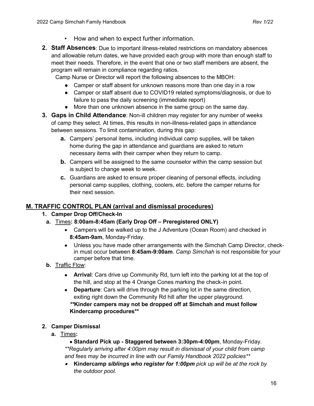- How and when to expect further information.
- **2. Staff Absences**: Due to important illness-related restrictions on mandatory absences and allowable return dates, we have provided each group with more than enough staff to meet their needs. Therefore, in the event that one or two staff members are absent, the program will remain in compliance regarding ratios.

Camp Nurse or Director will report the following absences to the MBOH:

- Camper or staff absent for unknown reasons more than one day in a row
- Camper or staff absent due to COVID19 related symptoms/diagnosis, or due to failure to pass the daily screening (immediate report)
- More than one unknown absence in the same group on the same day.
- **3. Gaps in Child Attendance**: Non-ill children may register for any number of weeks of camp they select. At times, this results in non-illness-related gaps in attendance between sessions. To limit contamination, during this gap:
	- **a.** Campers' personal items, including individual camp supplies, will be taken home during the gap in attendance and guardians are asked to return necessary items with their camper when they return to camp.
	- **b.** Campers will be assigned to the same counselor within the camp session but is subject to change week to week.
	- **c.** Guardians are asked to ensure proper cleaning of personal effects, including personal camp supplies, clothing, coolers, etc. before the camper returns for their next session.

#### **M. TRAFFIC CONTROL PLAN (arrival and dismissal procedures)**

- **1. Camper Drop Off/Check-In**
	- **a.** Times**: 8:00am-8:45am (Early Drop Off – Preregistered ONLY)**
		- Campers will be walked up to the J Adventure (Ocean Room) and checked in **8:45am-9am**, Monday-Friday.
		- Unless you have made other arrangements with the Simchah Camp Director, checkin must occur between **8:45am-9:00am**. *Camp Simchah* is not responsible for your camper before that time.
	- **b.** Traffic Flow:
		- **Arrival**: Cars drive up Community Rd, turn left into the parking lot at the top of the hill, and stop at the 4 Orange Cones marking the check-in point.
		- **Departure**: Cars will drive through the parking lot in the same direction, exiting right down the Community Rd hill after the upper playground. *\*\****Kinder campers may not be dropped off at Simchah and must follow Kindercamp procedures\*\***
- **2. Camper Dismissal**
	- **a.** Times**:**

• **Standard Pick up - Staggered between 3:30pm-4:00pm**, Monday-Friday. *\*\*Regularly arriving after 4:00pm may result in dismissal of your child from camp and fees may be incurred in line with our Family Handbook 2022 policies\*\**

• **Kindercamp** *siblings who register for 1:00pm pick up will be at the rock by the outdoor pool.*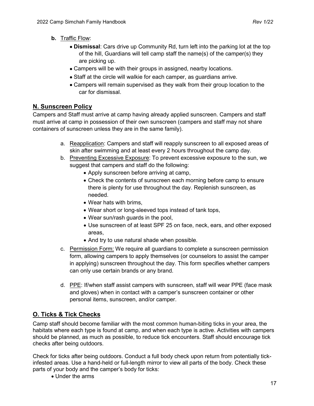- **b.** Traffic Flow:
	- **Dismissal**: Cars drive up Community Rd, turn left into the parking lot at the top of the hill, Guardians will tell camp staff the name(s) of the camper(s) they are picking up.
	- Campers will be with their groups in assigned, nearby locations.
	- Staff at the circle will walkie for each camper, as guardians arrive.
	- Campers will remain supervised as they walk from their group location to the car for dismissal.

#### **N. Sunscreen Policy**

Campers and Staff must arrive at camp having already applied sunscreen. Campers and staff must arrive at camp in possession of their own sunscreen (campers and staff may not share containers of sunscreen unless they are in the same family).

- a. Reapplication: Campers and staff will reapply sunscreen to all exposed areas of skin after swimming and at least every 2 hours throughout the camp day.
- b. Preventing Excessive Exposure: To prevent excessive exposure to the sun, we suggest that campers and staff do the following:
	- Apply sunscreen before arriving at camp,
	- Check the contents of sunscreen each morning before camp to ensure there is plenty for use throughout the day. Replenish sunscreen, as needed.
	- Wear hats with brims,
	- Wear short or long-sleeved tops instead of tank tops,
	- Wear sun/rash guards in the pool,
	- Use sunscreen of at least SPF 25 on face, neck, ears, and other exposed areas,
	- And try to use natural shade when possible.
- c. Permission Form: We require all guardians to complete a sunscreen permission form, allowing campers to apply themselves (or counselors to assist the camper in applying) sunscreen throughout the day. This form specifies whether campers can only use certain brands or any brand.
- d. PPE: If/when staff assist campers with sunscreen, staff will wear PPE (face mask and gloves) when in contact with a camper's sunscreen container or other personal items, sunscreen, and/or camper.

#### **O. Ticks & Tick Checks**

Camp staff should become familiar with the most common human-biting ticks in your area, the habitats where each type is found at camp, and when each type is active. Activities with campers should be planned, as much as possible, to reduce tick encounters. Staff should encourage tick checks after being outdoors.

Check for ticks after being outdoors. Conduct a full body check upon return from potentially tickinfested areas. Use a hand-held or full-length mirror to view all parts of the body. Check these parts of your body and the camper's body for ticks:

• Under the arms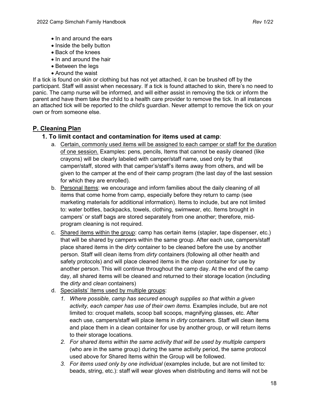- In and around the ears
- Inside the belly button
- Back of the knees
- In and around the hair
- Between the legs
- Around the waist

If a tick is found on skin or clothing but has not yet attached, it can be brushed off by the participant. Staff will assist when necessary. If a tick is found attached to skin, there's no need to panic. The camp nurse will be informed, and will either assist in removing the tick or inform the parent and have them take the child to a health care provider to remove the tick. In all instances an attached tick will be reported to the child's guardian. Never attempt to remove the tick on your own or from someone else.

#### **P. Cleaning Plan**

- **1. To limit contact and contamination for items used at camp**:
	- a. Certain, commonly used items will be assigned to each camper or staff for the duration of one session. Examples: pens, pencils, Items that cannot be easily cleaned (like crayons) will be clearly labeled with camper/staff name, used only by that camper/staff, stored with that camper's/staff's items away from others, and will be given to the camper at the end of their camp program (the last day of the last session for which they are enrolled).
	- b. Personal Items: we encourage and inform families about the daily cleaning of all items that come home from camp, especially before they return to camp (see marketing materials for additional information). Items to include, but are not limited to: water bottles, backpacks, towels, clothing, swimwear, etc. Items brought in campers' or staff bags are stored separately from one another; therefore, midprogram cleaning is not required.
	- c. Shared items within the group: camp has certain items (stapler, tape dispenser, etc.) that will be shared by campers within the same group. After each use, campers/staff place shared items in the *dirty* container to be cleaned before the use by another person. Staff will clean items from *dirty* containers (following all other health and safety protocols) and will place cleaned items in the *clean* container for use by another person. This will continue throughout the camp day. At the end of the camp day, all shared items will be cleaned and returned to their storage location (including the *dirty* and *clean* containers)
	- d. Specialists' Items used by multiple groups:
		- *1. Where possible, camp has secured enough supplies so that within a given activity, each camper has use of their own items.* Examples include, but are not limited to: croquet mallets, scoop ball scoops, magnifying glasses, etc. After each use, campers/staff will place items in *dirty* containers. Staff will clean items and place them in a clean container for use by another group, or will return items to their storage locations.
		- *2. For shared items within the same activity that will be used by multiple campers*  (who are in the same group) during the same activity period, the same protocol used above for Shared Items within the Group will be followed.
		- *3. For items used only by one individual* (examples include, but are not limited to: beads, string, etc.): staff will wear gloves when distributing and items will not be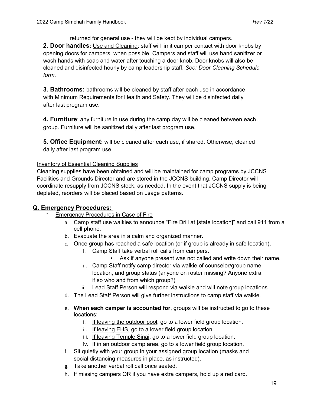returned for general use - they will be kept by individual campers. **2. Door handles:** Use and Cleaning: staff will limit camper contact with door knobs by opening doors for campers, when possible. Campers and staff will use hand sanitizer or wash hands with soap and water after touching a door knob. Door knobs will also be cleaned and disinfected hourly by camp leadership staff. *See: Door Cleaning Schedule form.*

**3. Bathrooms:** bathrooms will be cleaned by staff after each use in accordance with Minimum Requirements for Health and Safety. They will be disinfected daily after last program use.

**4. Furniture**: any furniture in use during the camp day will be cleaned between each group. Furniture will be sanitized daily after last program use.

**5. Office Equipment:** will be cleaned after each use, if shared. Otherwise, cleaned daily after last program use.

#### Inventory of Essential Cleaning Supplies

Cleaning supplies have been obtained and will be maintained for camp programs by JCCNS Facilities and Grounds Director and are stored in the JCCNS building. Camp Director will coordinate resupply from JCCNS stock, as needed. In the event that JCCNS supply is being depleted, reorders will be placed based on usage patterns.

#### **Q. Emergency Procedures:**

- 1. Emergency Procedures in Case of Fire
	- a. Camp staff use walkies to announce "Fire Drill at [state location]" and call 911 from a cell phone.
	- b. Evacuate the area in a calm and organized manner.
	- c. Once group has reached a safe location (or if group is already in safe location),
		- i. Camp Staff take verbal roll calls from campers.
			- Ask if anyone present was not called and write down their name.
		- ii. Camp Staff notify camp director via walkie of counselor/group name, location, and group status (anyone on roster missing? Anyone extra, if so who and from which group?)
		- iii. Lead Staff Person will respond via walkie and will note group locations.
	- d. The Lead Staff Person will give further instructions to camp staff via walkie.
	- e. **When each camper is accounted for**, groups will be instructed to go to these locations:
		- i. If leaving the outdoor pool, go to a lower field group location.
		- ii. If leaving EHS, go to a lower field group location.
		- iii. If leaving Temple Sinai, go to a lower field group location.
		- iv. If in an outdoor camp area, go to a lower field group location.
	- f. Sit quietly with your group in your assigned group location (masks and social distancing measures in place, as instructed).
	- g. Take another verbal roll call once seated.
	- h. If missing campers OR if you have extra campers, hold up a red card.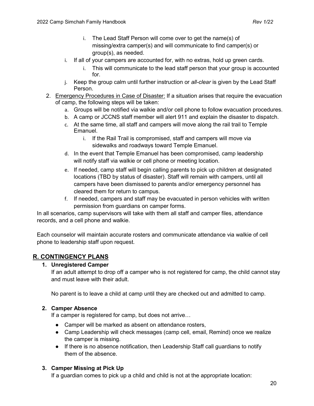- i. The Lead Staff Person will come over to get the name(s) of missing/extra camper(s) and will communicate to find camper(s) or group(s), as needed.
- i. If all of your campers are accounted for, with no extras, hold up green cards.
	- i. This will communicate to the lead staff person that your group is accounted for.
- j. Keep the group calm until further instruction or *all-clear* is given by the Lead Staff Person.
- 2. Emergency Procedures in Case of Disaster: If a situation arises that require the evacuation of camp, the following steps will be taken:
	- a. Groups will be notified via walkie and/or cell phone to follow evacuation procedures.
	- b. A camp or JCCNS staff member will alert 911 and explain the disaster to dispatch.
	- c. At the same time, all staff and campers will move along the rail trail to Temple Emanuel.
		- i. If the Rail Trail is compromised, staff and campers will move via sidewalks and roadways toward Temple Emanuel.
	- d. In the event that Temple Emanuel has been compromised, camp leadership will notify staff via walkie or cell phone or meeting location.
	- e. If needed, camp staff will begin calling parents to pick up children at designated locations (TBD by status of disaster). Staff will remain with campers, until all campers have been dismissed to parents and/or emergency personnel has cleared them for return to campus.
	- f. If needed, campers and staff may be evacuated in person vehicles with written permission from guardians on camper forms.

In all scenarios, camp supervisors will take with them all staff and camper files, attendance records, and a cell phone and walkie.

Each counselor will maintain accurate rosters and communicate attendance via walkie of cell phone to leadership staff upon request.

#### **R. CONTINGENCY PLANS**

#### **1. Unregistered Camper**

If an adult attempt to drop off a camper who is not registered for camp, the child cannot stay and must leave with their adult.

No parent is to leave a child at camp until they are checked out and admitted to camp.

#### **2. Camper Absence**

If a camper is registered for camp, but does not arrive…

- Camper will be marked as absent on attendance rosters,
- Camp Leadership will check messages (camp cell, email, Remind) once we realize the camper is missing.
- If there is no absence notification, then Leadership Staff call guardians to notify them of the absence.

#### **3. Camper Missing at Pick Up**

If a guardian comes to pick up a child and child is not at the appropriate location: